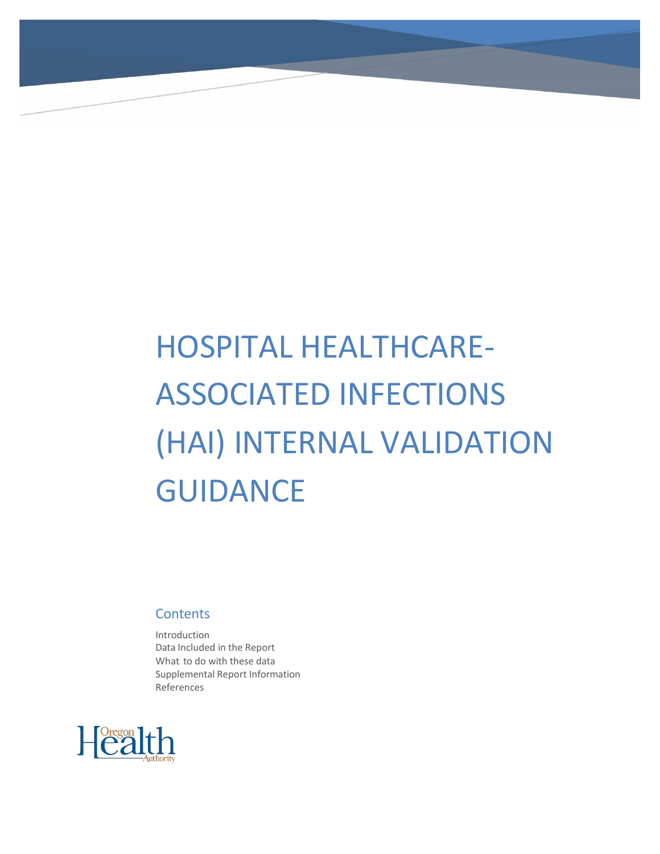# HOSPITAL HEALTHCARE-ASSOCIATED INFECTIONS (HAI) INTERNAL VALIDATION **GUIDANCE**

## **Contents**

Introduction Data Included in the Report What to do with these data Supplemental Report Information References

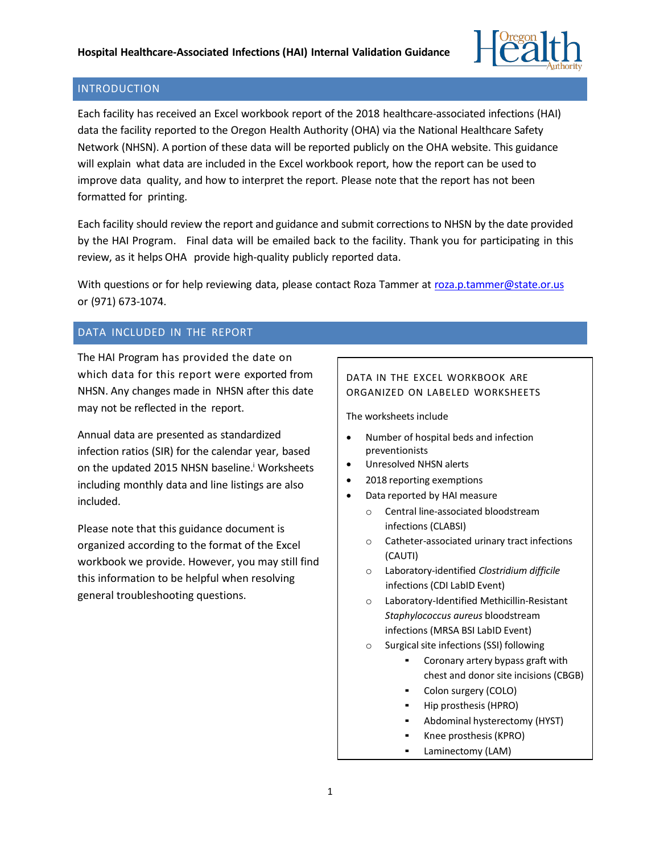

## INTRODUCTION

Each facility has received an Excel workbook report of the 2018 healthcare-associated infections (HAI) data the facility reported to the Oregon Health Authority (OHA) via the National Healthcare Safety Network (NHSN). A portion of these data will be reported publicly on the OHA website. This guidance will explain what data are included in the Excel workbook report, how the report can be used to improve data quality, and how to interpret the report. Please note that the report has not been formatted for printing.

Each facility should review the report and guidance and submit corrections to NHSN by the date provided by the HAI Program. Final data will be emailed back to the facility. Thank you for participating in this review, as it helps OHA provide high-quality publicly reported data.

With questions or for help reviewing data, please contact Roza Tammer at [roza.p.tammer@state.or.us](mailto:roza.p.tammer@state.or.us) or (971) 673-1074.

# DATA INCLUDED IN THE REPORT

The HAI Program has provided the date on which data for this report were exported from NHSN. Any changes made in NHSN after this date may not be reflected in the report.

Annual data are presented as standardized infection ratios (SIR) for the calendar year, based on the updated 2015 NHSN baseline.<sup>i</sup> Worksheets including monthly data and line listings are also included.

Please note that this guidance document is organized according to the format of the Excel workbook we provide. However, you may still find this information to be helpful when resolving general troubleshooting questions.

## DATA IN THE EXCEL WORKBOOK ARE ORGANIZED ON LABELED WORKSHEETS

The worksheets include

- Number of hospital beds and infection preventionists
- Unresolved NHSN alerts
- 2018 reporting exemptions
- Data reported by HAI measure
	- o Central line-associated bloodstream infections (CLABSI)
	- o Catheter-associated urinary tract infections (CAUTI)
	- o Laboratory-identified *Clostridium difficile* infections (CDI LabID Event)
	- o Laboratory-Identified Methicillin-Resistant *Staphylococcus aureus* bloodstream infections (MRSA BSI LabID Event)
	- $\circ$  Surgical site infections (SSI) following
		- Coronary artery bypass graft with chest and donor site incisions (CBGB)
		- Colon surgery (COLO)
		- Hip prosthesis (HPRO)
		- Abdominal hysterectomy (HYST)
		- Knee prosthesis (KPRO)
		- Laminectomy (LAM)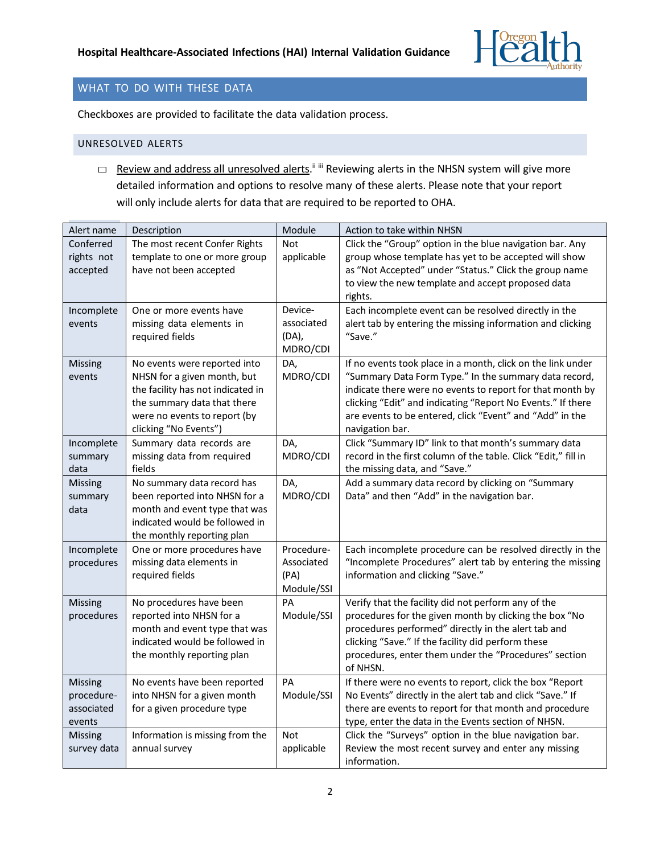

## WHAT TO DO WITH THESE DATA

Checkboxes are provided to facilitate the data validation process.

#### UNRESOLVED ALERTS

□ Review and address all unresolved alerts.<sup>ii iii</sup> Reviewing alerts in the NHSN system will give more detailed information and options to resolve many of these alerts. Please note that your report will only include alerts for data that are required to be reported to OHA.

| Alert name                                           | Description                                                                                                                                                                              | Module                                         | Action to take within NHSN                                                                                                                                                                                                                                                                                                      |
|------------------------------------------------------|------------------------------------------------------------------------------------------------------------------------------------------------------------------------------------------|------------------------------------------------|---------------------------------------------------------------------------------------------------------------------------------------------------------------------------------------------------------------------------------------------------------------------------------------------------------------------------------|
| Conferred<br>rights not<br>accepted                  | The most recent Confer Rights<br>template to one or more group<br>have not been accepted                                                                                                 | <b>Not</b><br>applicable                       | Click the "Group" option in the blue navigation bar. Any<br>group whose template has yet to be accepted will show<br>as "Not Accepted" under "Status." Click the group name<br>to view the new template and accept proposed data<br>rights.                                                                                     |
| Incomplete<br>events                                 | One or more events have<br>missing data elements in<br>required fields                                                                                                                   | Device-<br>associated<br>(DA),<br>MDRO/CDI     | Each incomplete event can be resolved directly in the<br>alert tab by entering the missing information and clicking<br>"Save."                                                                                                                                                                                                  |
| Missing<br>events                                    | No events were reported into<br>NHSN for a given month, but<br>the facility has not indicated in<br>the summary data that there<br>were no events to report (by<br>clicking "No Events") | DA,<br>MDRO/CDI                                | If no events took place in a month, click on the link under<br>"Summary Data Form Type." In the summary data record,<br>indicate there were no events to report for that month by<br>clicking "Edit" and indicating "Report No Events." If there<br>are events to be entered, click "Event" and "Add" in the<br>navigation bar. |
| Incomplete<br>summary<br>data                        | Summary data records are<br>missing data from required<br>fields                                                                                                                         | DA,<br>MDRO/CDI                                | Click "Summary ID" link to that month's summary data<br>record in the first column of the table. Click "Edit," fill in<br>the missing data, and "Save."                                                                                                                                                                         |
| Missing<br>summary<br>data                           | No summary data record has<br>been reported into NHSN for a<br>month and event type that was<br>indicated would be followed in<br>the monthly reporting plan                             | DA,<br>MDRO/CDI                                | Add a summary data record by clicking on "Summary<br>Data" and then "Add" in the navigation bar.                                                                                                                                                                                                                                |
| Incomplete<br>procedures                             | One or more procedures have<br>missing data elements in<br>required fields                                                                                                               | Procedure-<br>Associated<br>(PA)<br>Module/SSI | Each incomplete procedure can be resolved directly in the<br>"Incomplete Procedures" alert tab by entering the missing<br>information and clicking "Save."                                                                                                                                                                      |
| Missing<br>procedures                                | No procedures have been<br>reported into NHSN for a<br>month and event type that was<br>indicated would be followed in<br>the monthly reporting plan                                     | PA<br>Module/SSI                               | Verify that the facility did not perform any of the<br>procedures for the given month by clicking the box "No<br>procedures performed" directly in the alert tab and<br>clicking "Save." If the facility did perform these<br>procedures, enter them under the "Procedures" section<br>of NHSN.                                 |
| <b>Missing</b><br>procedure-<br>associated<br>events | No events have been reported<br>into NHSN for a given month<br>for a given procedure type                                                                                                | PA<br>Module/SSI                               | If there were no events to report, click the box "Report<br>No Events" directly in the alert tab and click "Save." If<br>there are events to report for that month and procedure<br>type, enter the data in the Events section of NHSN.                                                                                         |
| Missing<br>survey data                               | Information is missing from the<br>annual survey                                                                                                                                         | Not<br>applicable                              | Click the "Surveys" option in the blue navigation bar.<br>Review the most recent survey and enter any missing<br>information.                                                                                                                                                                                                   |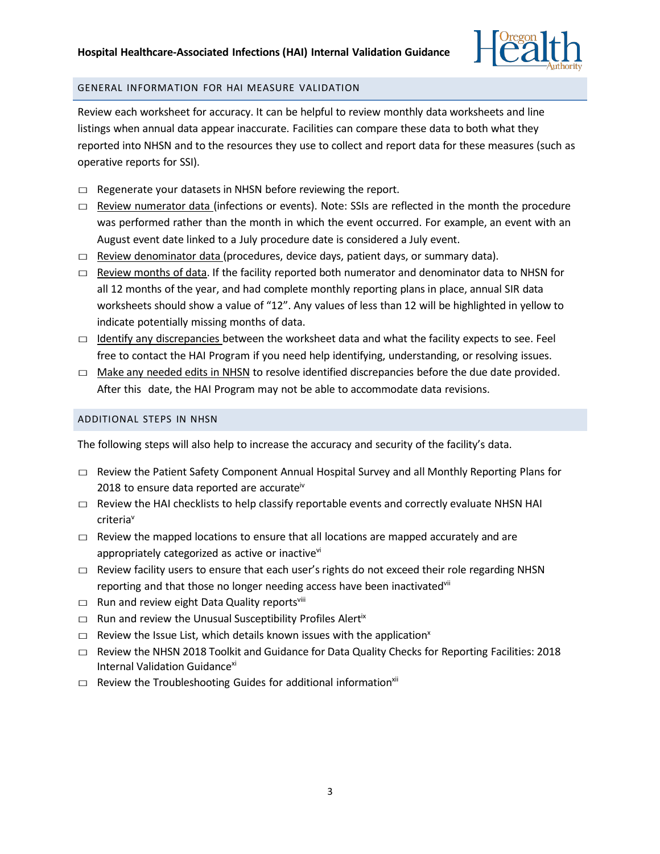

#### GENERAL INFORMATION FOR HAI MEASURE VALIDATION

Review each worksheet for accuracy. It can be helpful to review monthly data worksheets and line listings when annual data appear inaccurate. Facilities can compare these data to both what they reported into NHSN and to the resources they use to collect and report data for these measures (such as operative reports for SSI).

- $\Box$  Regenerate your datasets in NHSN before reviewing the report.
- $\Box$  Review numerator data (infections or events). Note: SSIs are reflected in the month the procedure was performed rather than the month in which the event occurred. For example, an event with an August event date linked to a July procedure date is considered a July event.
- $\Box$  Review denominator data (procedures, device days, patient days, or summary data).
- $\Box$  Review months of data. If the facility reported both numerator and denominator data to NHSN for all 12 months of the year, and had complete monthly reporting plans in place, annual SIR data worksheets should show a value of "12". Any values of less than 12 will be highlighted in yellow to indicate potentially missing months of data.
- $\Box$  Identify any discrepancies between the worksheet data and what the facility expects to see. Feel free to contact the HAI Program if you need help identifying, understanding, or resolving issues.
- $\Box$  Make any needed edits in NHSN to resolve identified discrepancies before the due date provided. After this date, the HAI Program may not be able to accommodate data revisions.

#### ADDITIONAL STEPS IN NHSN

The following steps will also help to increase the accuracy and security of the facility's data.

- $\Box$  Review the Patient Safety Component Annual Hospital Survey and all Monthly Reporting Plans for 2018 to ensure data reported are accurate<sup>iv</sup>
- $\Box$  Review the HAI checklists to help classify reportable events and correctly evaluate NHSN HAI criteria<sup>v</sup>
- $\Box$  Review the mapped locations to ensure that all locations are mapped accurately and are appropriately categorized as active or inactive<sup>vi</sup>
- $\Box$  Review facility users to ensure that each user's rights do not exceed their role regarding NHSN reporting and that those no longer needing access have been inactivated<sup>vii</sup>
- $\square$  Run and review eight Data Quality reportsvill
- $\square$  Run and review the Unusual Susceptibility Profiles Alert<sup>ix</sup>
- $\square$  Review the Issue List, which details known issues with the application<sup>x</sup>
- $\Box$  Review the NHSN 2018 Toolkit and Guidance for Data Quality Checks for Reporting Facilities: 2018 Internal Validation Guidance<sup>xi</sup>
- $\square$  Review the Troubleshooting Guides for additional information<sup>xii</sup>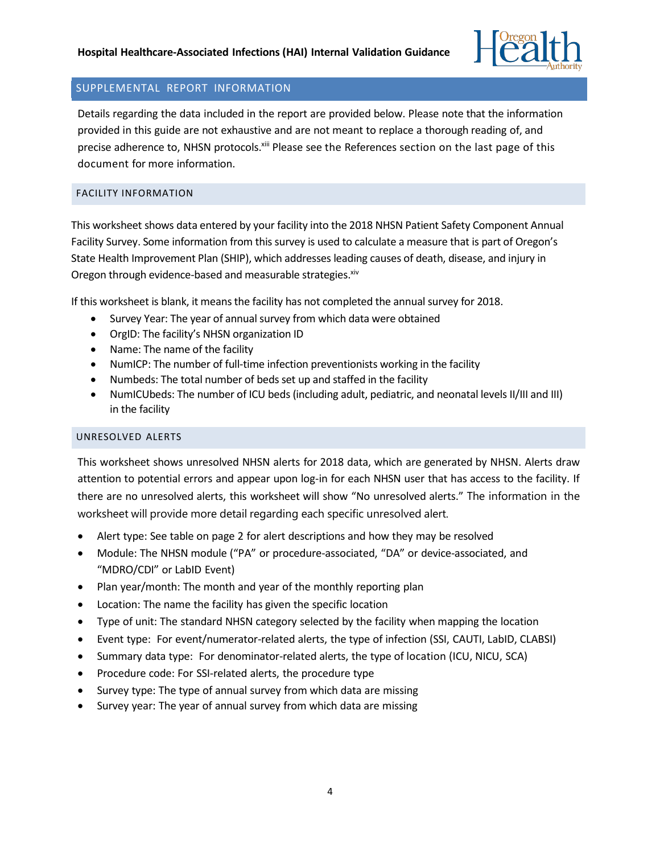

# SUPPLEMENTAL REPORT INFORMATION

Details regarding the data included in the report are provided below. Please note that the information provided in this guide are not exhaustive and are not meant to replace a thorough reading of, and precise adherence to, NHSN protocols. Xiii Please see the References section on the last page of this document for more information.

## FACILITY INFORMATION

This worksheet shows data entered by your facility into the 2018 NHSN Patient Safety Component Annual Facility Survey. Some information from this survey is used to calculate a measure that is part of Oregon's State Health Improvement Plan (SHIP), which addresses leading causes of death, disease, and injury in Oregon through evidence-based and measurable strategies.<sup>xiv</sup>

If this worksheet is blank, it means the facility has not completed the annual survey for 2018.

- Survey Year: The year of annual survey from which data were obtained
- OrgID: The facility's NHSN organization ID
- Name: The name of the facility
- NumICP: The number of full-time infection preventionists working in the facility
- Numbeds: The total number of beds set up and staffed in the facility
- NumICUbeds: The number of ICU beds (including adult, pediatric, and neonatal levels II/III and III) in the facility

### UNRESOLVED ALERTS

This worksheet shows unresolved NHSN alerts for 2018 data, which are generated by NHSN. Alerts draw attention to potential errors and appear upon log-in for each NHSN user that has access to the facility. If there are no unresolved alerts, this worksheet will show "No unresolved alerts." The information in the worksheet will provide more detail regarding each specific unresolved alert.

- Alert type: See table on page 2 for alert descriptions and how they may be resolved
- Module: The NHSN module ("PA" or procedure-associated, "DA" or device-associated, and "MDRO/CDI" or LabID Event)
- Plan year/month: The month and year of the monthly reporting plan
- Location: The name the facility has given the specific location
- Type of unit: The standard NHSN category selected by the facility when mapping the location
- Event type: For event/numerator-related alerts, the type of infection (SSI, CAUTI, LabID, CLABSI)
- Summary data type: For denominator-related alerts, the type of location (ICU, NICU, SCA)
- Procedure code: For SSI-related alerts, the procedure type
- Survey type: The type of annual survey from which data are missing
- Survey year: The year of annual survey from which data are missing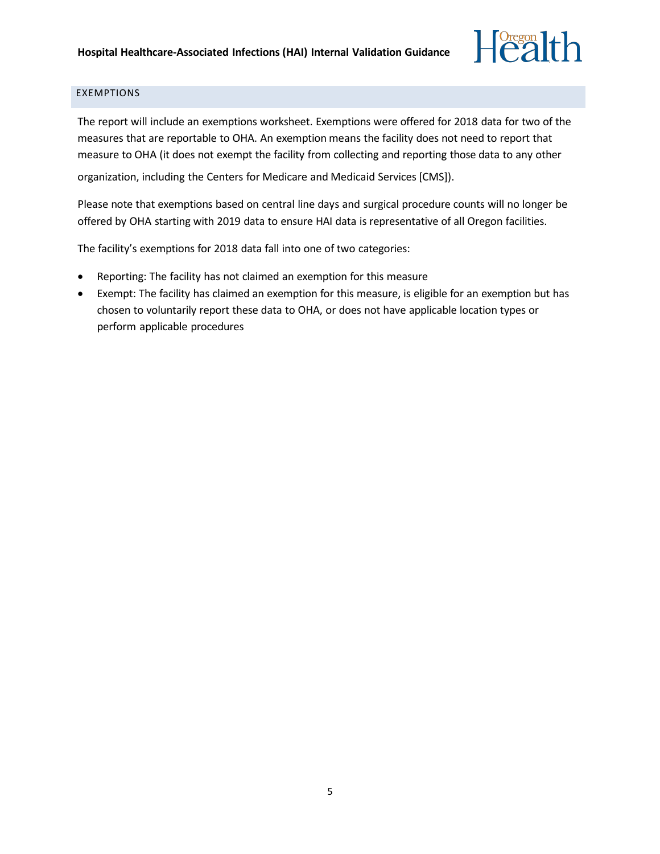

#### EXEMPTIONS

The report will include an exemptions worksheet. Exemptions were offered for 2018 data for two of the measures that are reportable to OHA. An exemption means the facility does not need to report that measure to OHA (it does not exempt the facility from collecting and reporting those data to any other

organization, including the Centers for Medicare and Medicaid Services [CMS]).

Please note that exemptions based on central line days and surgical procedure counts will no longer be offered by OHA starting with 2019 data to ensure HAI data is representative of all Oregon facilities.

The facility's exemptions for 2018 data fall into one of two categories:

- Reporting: The facility has not claimed an exemption for this measure
- Exempt: The facility has claimed an exemption for this measure, is eligible for an exemption but has chosen to voluntarily report these data to OHA, or does not have applicable location types or perform applicable procedures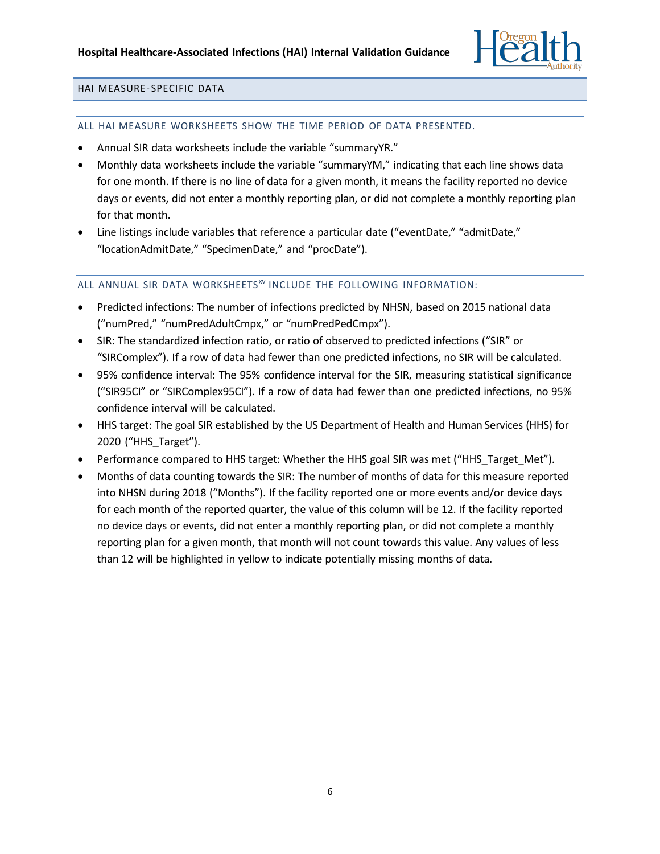

#### HAI MEASURE- SPECIFIC DATA

#### ALL HAI MEASURE WORKSHEETS SHOW THE TIME PERIOD OF DATA PRESENTED.

- Annual SIR data worksheets include the variable "summaryYR."
- Monthly data worksheets include the variable "summaryYM," indicating that each line shows data for one month. If there is no line of data for a given month, it means the facility reported no device days or events, did not enter a monthly reporting plan, or did not complete a monthly reporting plan for that month.
- Line listings include variables that reference a particular date ("eventDate," "admitDate," "locationAdmitDate," "SpecimenDate," and "procDate").

### ALL ANNUAL SIR DATA WORKSHEETS<sup>XV</sup> INCLUDE THE FOLLOWING INFORMATION:

- Predicted infections: The number of infections predicted by NHSN, based on 2015 national data ("numPred," "numPredAdultCmpx," or "numPredPedCmpx").
- SIR: The standardized infection ratio, or ratio of observed to predicted infections ("SIR" or "SIRComplex"). If a row of data had fewer than one predicted infections, no SIR will be calculated.
- 95% confidence interval: The 95% confidence interval for the SIR, measuring statistical significance ("SIR95CI" or "SIRComplex95CI"). If a row of data had fewer than one predicted infections, no 95% confidence interval will be calculated.
- HHS target: The goal SIR established by the US Department of Health and Human Services (HHS) for 2020 ("HHS\_Target").
- Performance compared to HHS target: Whether the HHS goal SIR was met ("HHS\_Target\_Met").
- Months of data counting towards the SIR: The number of months of data for this measure reported into NHSN during 2018 ("Months"). If the facility reported one or more events and/or device days for each month of the reported quarter, the value of this column will be 12. If the facility reported no device days or events, did not enter a monthly reporting plan, or did not complete a monthly reporting plan for a given month, that month will not count towards this value. Any values of less than 12 will be highlighted in yellow to indicate potentially missing months of data.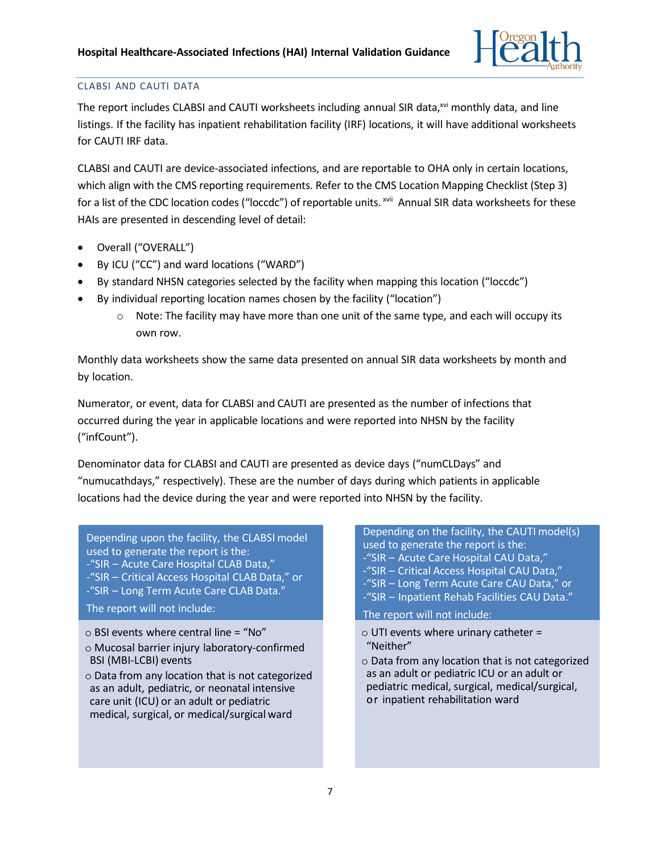

## CLABSI AND CAUTI DATA

The report includes CLABSI and CAUTI worksheets including annual SIR data,<sup>xvi</sup> monthly data, and line listings. If the facility has inpatient rehabilitation facility (IRF) locations, it will have additional worksheets for CAUTI IRF data.

CLABSI and CAUTI are device-associated infections, and are reportable to OHA only in certain locations, which align with the CMS reporting requirements. Refer to the CMS Location Mapping Checklist (Step 3) for a list of the CDC location codes ("loccdc") of reportable units. <sup>xvii</sup> Annual SIR data worksheets for these HAIs are presented in descending level of detail:

- Overall ("OVERALL")
- By ICU ("CC") and ward locations ("WARD")
- By standard NHSN categories selected by the facility when mapping this location ("loccdc")
- By individual reporting location names chosen by the facility ("location")
	- $\circ$  Note: The facility may have more than one unit of the same type, and each will occupy its own row.

Monthly data worksheets show the same data presented on annual SIR data worksheets by month and by location.

Numerator, or event, data for CLABSI and CAUTI are presented as the number of infections that occurred during the year in applicable locations and were reported into NHSN by the facility ("infCount").

Denominator data for CLABSI and CAUTI are presented as device days ("numCLDays" and "numucathdays," respectively). These are the number of days during which patients in applicable locations had the device during the year and were reported into NHSN by the facility.

Depending upon the facility, the CLABSI model used to generate the report is the: -"SIR – Acute Care Hospital CLAB Data," -"SIR – Critical Access Hospital CLAB Data," or -"SIR – Long Term Acute Care CLAB Data." The report will not include:

 $\circ$  BSI events where central line = "No"

- Mucosal barrier injury laboratory-confirmed BSI (MBI-LCBI) events
- $\circ$  Data from any location that is not categorized as an adult, pediatric, or neonatal intensive care unit (ICU) or an adult or pediatric medical, surgical, or medical/surgical ward

Depending on the facility, the CAUTI model(s) used to generate the report is the: -"SIR – Acute Care Hospital CAU Data," -"SIR – Critical Access Hospital CAU Data," -"SIR – Long Term Acute Care CAU Data," or -"SIR – Inpatient Rehab Facilities CAU Data."

## The report will not include:

- $\circ$  UTI events where urinary catheter = "Neither"
- $\circ$  Data from any location that is not categorized as an adult or pediatric ICU or an adult or pediatric medical, surgical, medical/surgical, or inpatient rehabilitation ward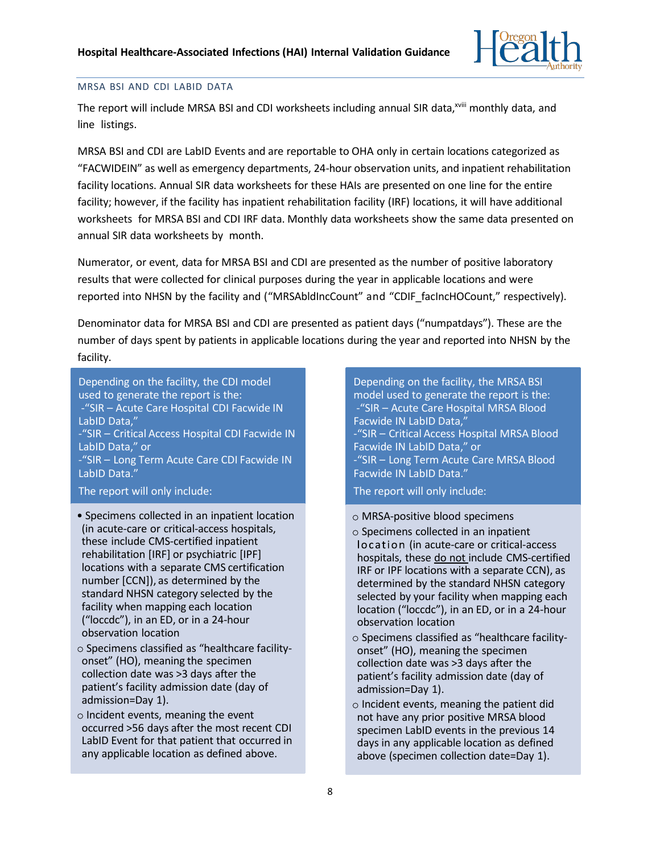

#### MRSA BSI AND CDI LABID DATA

The report will include MRSA BSI and CDI worksheets including annual SIR data,<sup>xviii</sup> monthly data, and line listings.

MRSA BSI and CDI are LabID Events and are reportable to OHA only in certain locations categorized as "FACWIDEIN" as well as emergency departments, 24-hour observation units, and inpatient rehabilitation facility locations. Annual SIR data worksheets for these HAIs are presented on one line for the entire facility; however, if the facility has inpatient rehabilitation facility (IRF) locations, it will have additional worksheets for MRSA BSI and CDI IRF data. Monthly data worksheets show the same data presented on annual SIR data worksheets by month.

Numerator, or event, data for MRSA BSI and CDI are presented as the number of positive laboratory results that were collected for clinical purposes during the year in applicable locations and were reported into NHSN by the facility and ("MRSAbldIncCount" and "CDIF\_facIncHOCount," respectively).

Denominator data for MRSA BSI and CDI are presented as patient days ("numpatdays"). These are the number of days spent by patients in applicable locations during the year and reported into NHSN by the facility.

Depending on the facility, the CDI model used to generate the report is the: -"SIR – Acute Care Hospital CDI Facwide IN LabID Data," -"SIR – Critical Access Hospital CDI Facwide IN LabID Data," or -"SIR – Long Term Acute Care CDI Facwide IN LabID Data."

The report will only include:

- Specimens collected in an inpatient location (in acute-care or critical-access hospitals, these include CMS-certified inpatient rehabilitation [IRF] or psychiatric [IPF] locations with a separate CMS certification number [CCN]), as determined by the standard NHSN category selected by the facility when mapping each location ("loccdc"), in an ED, or in a 24-hour observation location
- $\circ$  Specimens classified as "healthcare facilityonset" (HO), meaning the specimen collection date was >3 days after the patient's facility admission date (day of admission=Day 1).
- $\circ$  Incident events, meaning the event occurred >56 days after the most recent CDI LabID Event for that patient that occurred in any applicable location as defined above.

Depending on the facility, the MRSA BSI model used to generate the report is the: -"SIR – Acute Care Hospital MRSA Blood Facwide IN LabID Data," -"SIR – Critical Access Hospital MRSA Blood

Facwide IN LabID Data," or -"SIR – Long Term Acute Care MRSA Blood Facwide IN LabID Data."

The report will only include:

- MRSA-positive blood specimens
- $\circ$  Specimens collected in an inpatient location (in acute-care or critical-access hospitals, these do not include CMS-certified IRF or IPF locations with a separate CCN), as determined by the standard NHSN category selected by your facility when mapping each location ("loccdc"), in an ED, or in a 24-hour observation location
- $\circ$  Specimens classified as "healthcare facilityonset" (HO), meaning the specimen collection date was >3 days after the patient's facility admission date (day of admission=Day 1).
- $\circ$  Incident events, meaning the patient did not have any prior positive MRSA blood specimen LabID events in the previous 14 days in any applicable location as defined above (specimen collection date=Day 1).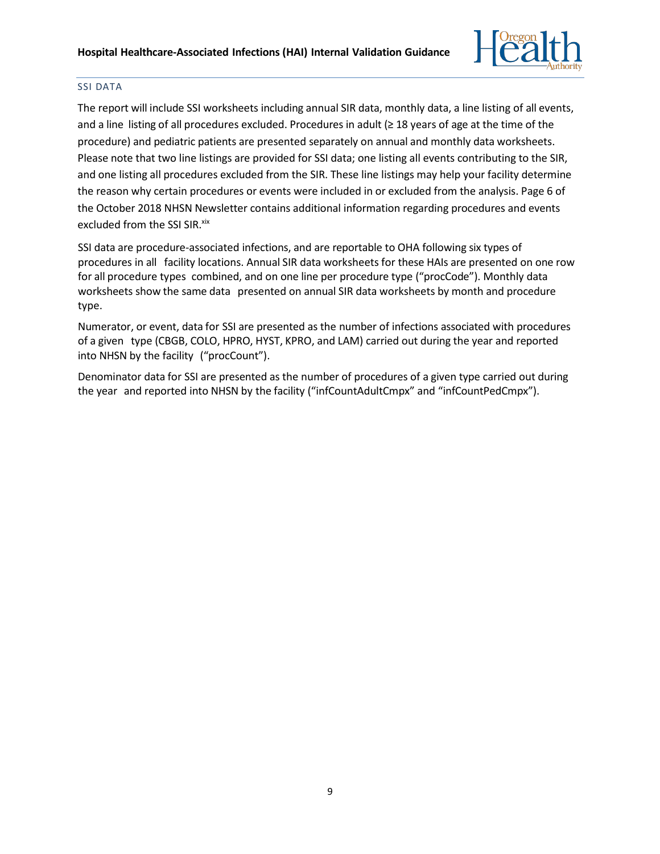

## SSI DATA

The report will include SSI worksheets including annual SIR data, monthly data, a line listing of all events, and a line listing of all procedures excluded. Procedures in adult (≥ 18 years of age at the time of the procedure) and pediatric patients are presented separately on annual and monthly data worksheets. Please note that two line listings are provided for SSI data; one listing all events contributing to the SIR, and one listing all procedures excluded from the SIR. These line listings may help your facility determine the reason why certain procedures or events were included in or excluded from the analysis. Page 6 of the October 2018 NHSN Newsletter contains additional information regarding procedures and events excluded from the SSI SIR. xix

SSI data are procedure-associated infections, and are reportable to OHA following six types of procedures in all facility locations. Annual SIR data worksheets for these HAIs are presented on one row for all procedure types combined, and on one line per procedure type ("procCode"). Monthly data worksheets show the same data presented on annual SIR data worksheets by month and procedure type.

Numerator, or event, data for SSI are presented as the number of infections associated with procedures of a given type (CBGB, COLO, HPRO, HYST, KPRO, and LAM) carried out during the year and reported into NHSN by the facility ("procCount").

Denominator data for SSI are presented as the number of procedures of a given type carried out during the year and reported into NHSN by the facility ("infCountAdultCmpx" and "infCountPedCmpx").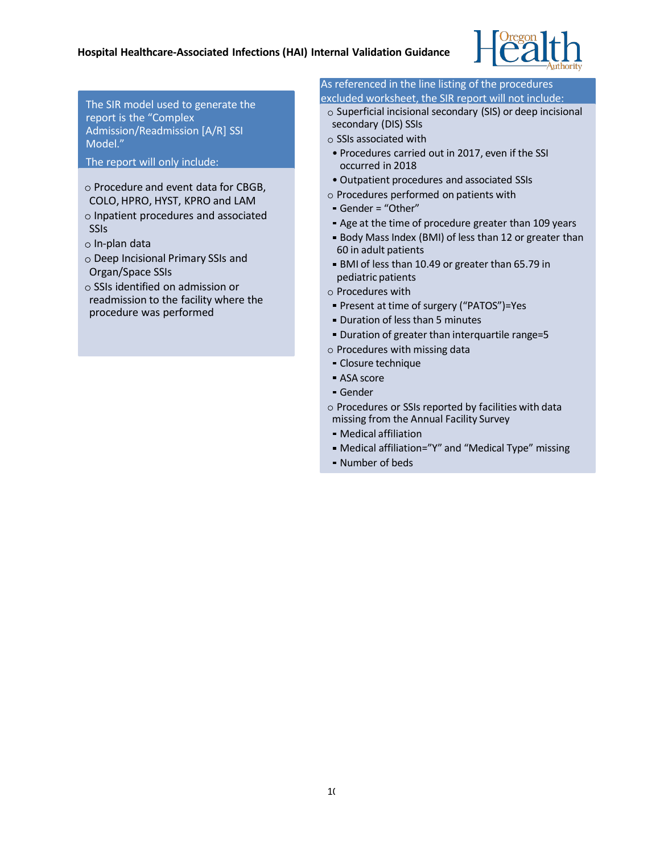

The SIR model used to generate the report is the "Complex Admission/Readmission [A/R] SSI Model."

The report will only include:

- $\circ$  Procedure and event data for CBGB, COLO,HPRO, HYST, KPRO and LAM
- $\circ$  Inpatient procedures and associated **SSIs**
- $\circ$  In-plan data
- $\circ$  Deep Incisional Primary SSIs and Organ/Space SSIs
- $\circ$  SSIs identified on admission or readmission to the facility where the procedure was performed

#### As referenced in the line listing of the procedures excluded worksheet, the SIR report will not include:

- $\circ$  Superficial incisional secondary (SIS) or deep incisional secondary (DIS) SSIs
- $\circ$  SSIs associated with
- Procedures carried out in 2017, even if the SSI occurred in 2018
- Outpatient procedures and associated SSIs
- $\circ$  Procedures performed on patients with
- Gender = "Other"
- Age at the time of procedure greater than 109 years
- Body Mass Index (BMI) of less than 12 or greater than 60 in adult patients
- BMI of less than 10.49 or greater than 65.79 in pediatric patients
- $\circ$  Procedures with
- Present at time of surgery ("PATOS")=Yes
- **Duration of less than 5 minutes**
- Duration of greater than interquartile range=5
- $\circ$  Procedures with missing data
- Closure technique
- ASA score
- Gender
- $\circ$  Procedures or SSIs reported by facilities with data missing from the Annual Facility Survey
- Medical affiliation
- Medical affiliation="Y" and "Medical Type" missing
- Number of beds